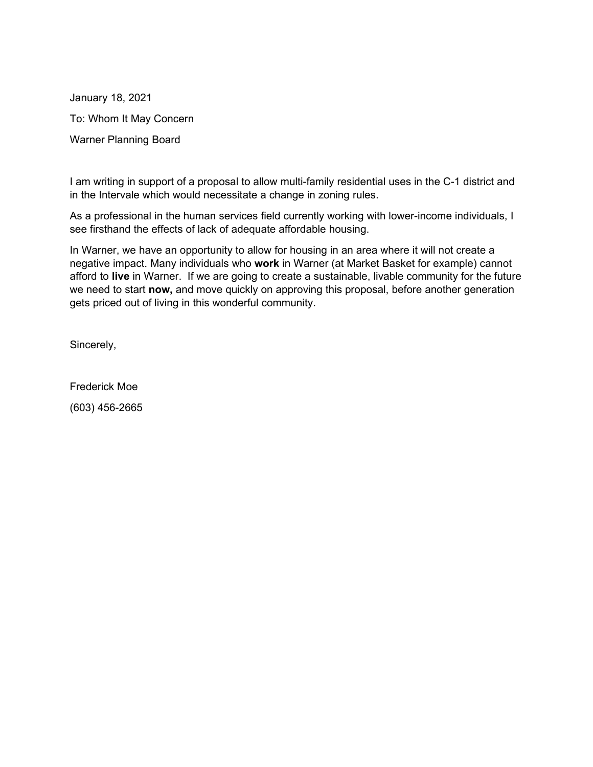January 18, 2021 To: Whom It May Concern Warner Planning Board

I am writing in support of a proposal to allow multi-family residential uses in the C-1 district and in the Intervale which would necessitate a change in zoning rules.

As a professional in the human services field currently working with lower-income individuals, I see firsthand the effects of lack of adequate affordable housing.

In Warner, we have an opportunity to allow for housing in an area where it will not create a negative impact. Many individuals who **work** in Warner (at Market Basket for example) cannot afford to **live** in Warner. If we are going to create a sustainable, livable community for the future we need to start **now,** and move quickly on approving this proposal, before another generation gets priced out of living in this wonderful community.

Sincerely,

Frederick Moe (603) 456-2665